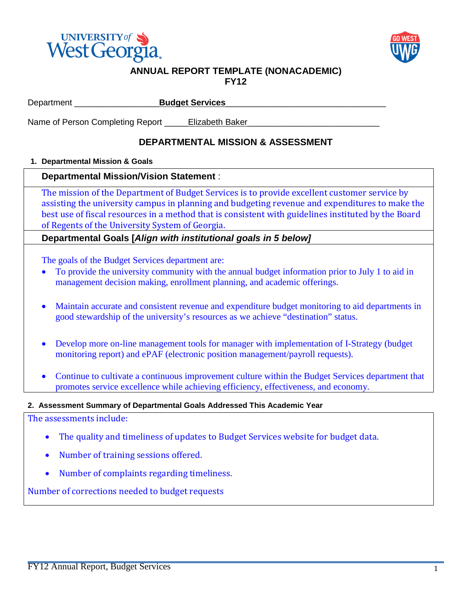



#### **ANNUAL REPORT TEMPLATE (NONACADEMIC) FY12**

Department \_\_\_\_\_\_\_\_\_\_\_\_\_\_\_\_\_\_**Budget Services**\_\_\_\_\_\_\_\_\_\_\_\_\_\_\_\_\_\_\_\_\_\_\_\_\_\_\_\_\_\_\_\_\_\_

Name of Person Completing Report \_\_\_\_\_\_Elizabeth Baker\_

# **DEPARTMENTAL MISSION & ASSESSMENT**

# **1. Departmental Mission & Goals**

# **Departmental Mission/Vision Statement** :

The mission of the Department of Budget Services is to provide excellent customer service by assisting the university campus in planning and budgeting revenue and expenditures to make the best use of fiscal resources in a method that is consistent with guidelines instituted by the Board of Regents of the University System of Georgia.

**Departmental Goals [***Align with institutional goals in 5 below]*

The goals of the Budget Services department are:

- To provide the university community with the annual budget information prior to July 1 to aid in management decision making, enrollment planning, and academic offerings.
- Maintain accurate and consistent revenue and expenditure budget monitoring to aid departments in good stewardship of the university's resources as we achieve "destination" status.
- Develop more on-line management tools for manager with implementation of I-Strategy (budget monitoring report) and ePAF (electronic position management/payroll requests).
- Continue to cultivate a continuous improvement culture within the Budget Services department that promotes service excellence while achieving efficiency, effectiveness, and economy.

# **2. Assessment Summary of Departmental Goals Addressed This Academic Year**

The assessments include:

- The quality and timeliness of updates to Budget Services website for budget data.
- Number of training sessions offered.
- Number of complaints regarding timeliness.

Number of corrections needed to budget requests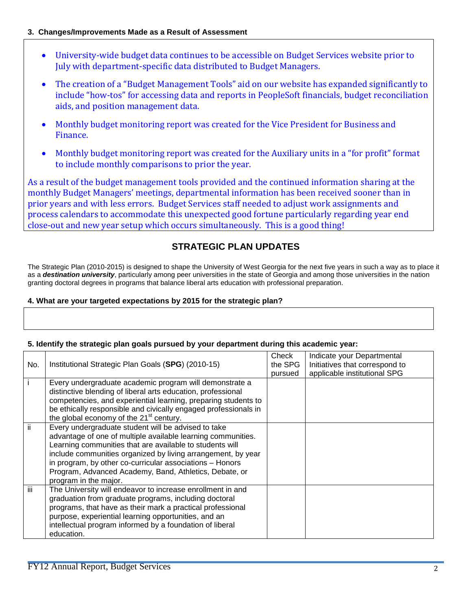### **3. Changes/Improvements Made as a Result of Assessment**

- University-wide budget data continues to be accessible on Budget Services website prior to July with department-specific data distributed to Budget Managers.
- The creation of a "Budget Management Tools" aid on our website has expanded significantly to include "how-tos" for accessing data and reports in PeopleSoft financials, budget reconciliation aids, and position management data.
- Monthly budget monitoring report was created for the Vice President for Business and Finance.
- Monthly budget monitoring report was created for the Auxiliary units in a "for profit" format to include monthly comparisons to prior the year.

As a result of the budget management tools provided and the continued information sharing at the monthly Budget Managers' meetings, departmental information has been received sooner than in prior years and with less errors. Budget Services staff needed to adjust work assignments and process calendars to accommodate this unexpected good fortune particularly regarding year end close-out and new year setup which occurs simultaneously. This is a good thing!

# **STRATEGIC PLAN UPDATES**

The Strategic Plan (2010-2015) is designed to shape the University of West Georgia for the next five years in such a way as to place it as a *destination university*, particularly among peer universities in the state of Georgia and among those universities in the nation granting doctoral degrees in programs that balance liberal arts education with professional preparation.

### **4. What are your targeted expectations by 2015 for the strategic plan?**

| io otratogro prati godio parodoa ny yoar dopa |                                                                                                                                                                                                                                                                                                                                                                                                |                             |                                                                                              |  |  |
|-----------------------------------------------|------------------------------------------------------------------------------------------------------------------------------------------------------------------------------------------------------------------------------------------------------------------------------------------------------------------------------------------------------------------------------------------------|-----------------------------|----------------------------------------------------------------------------------------------|--|--|
| No.                                           | Institutional Strategic Plan Goals (SPG) (2010-15)                                                                                                                                                                                                                                                                                                                                             | Check<br>the SPG<br>pursued | Indicate your Departmental<br>Initiatives that correspond to<br>applicable institutional SPG |  |  |
|                                               | Every undergraduate academic program will demonstrate a<br>distinctive blending of liberal arts education, professional<br>competencies, and experiential learning, preparing students to<br>be ethically responsible and civically engaged professionals in<br>the global economy of the 21 <sup>st</sup> century.                                                                            |                             |                                                                                              |  |  |
| ii.                                           | Every undergraduate student will be advised to take<br>advantage of one of multiple available learning communities.<br>Learning communities that are available to students will<br>include communities organized by living arrangement, by year<br>in program, by other co-curricular associations - Honors<br>Program, Advanced Academy, Band, Athletics, Debate, or<br>program in the major. |                             |                                                                                              |  |  |
| iii                                           | The University will endeavor to increase enrollment in and<br>graduation from graduate programs, including doctoral<br>programs, that have as their mark a practical professional<br>purpose, experiential learning opportunities, and an<br>intellectual program informed by a foundation of liberal<br>education.                                                                            |                             |                                                                                              |  |  |

# **5. Identify the strategic plan goals pursued by your department during this academic year:**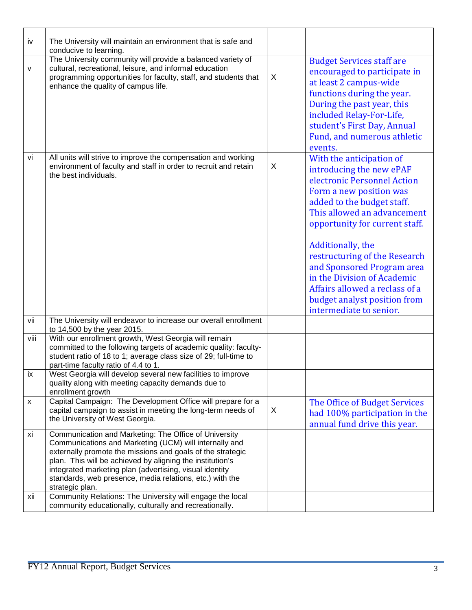| iv           | The University will maintain an environment that is safe and<br>conducive to learning.                                                                                                                                                                                                                                                                                                                                                            |   |                                                                                                                                                                                                                                                                                                                                                                                                                               |
|--------------|---------------------------------------------------------------------------------------------------------------------------------------------------------------------------------------------------------------------------------------------------------------------------------------------------------------------------------------------------------------------------------------------------------------------------------------------------|---|-------------------------------------------------------------------------------------------------------------------------------------------------------------------------------------------------------------------------------------------------------------------------------------------------------------------------------------------------------------------------------------------------------------------------------|
| $\mathsf{V}$ | The University community will provide a balanced variety of<br>cultural, recreational, leisure, and informal education<br>programming opportunities for faculty, staff, and students that<br>enhance the quality of campus life.                                                                                                                                                                                                                  | X | <b>Budget Services staff are</b><br>encouraged to participate in<br>at least 2 campus-wide<br>functions during the year.<br>During the past year, this<br>included Relay-For-Life,<br>student's First Day, Annual<br>Fund, and numerous athletic<br>events.                                                                                                                                                                   |
| vi           | All units will strive to improve the compensation and working<br>environment of faculty and staff in order to recruit and retain<br>the best individuals.                                                                                                                                                                                                                                                                                         | X | With the anticipation of<br>introducing the new ePAF<br>electronic Personnel Action<br>Form a new position was<br>added to the budget staff.<br>This allowed an advancement<br>opportunity for current staff.<br>Additionally, the<br>restructuring of the Research<br>and Sponsored Program area<br>in the Division of Academic<br>Affairs allowed a reclass of a<br>budget analyst position from<br>intermediate to senior. |
| vii          | The University will endeavor to increase our overall enrollment<br>to 14,500 by the year 2015.                                                                                                                                                                                                                                                                                                                                                    |   |                                                                                                                                                                                                                                                                                                                                                                                                                               |
| viii         | With our enrollment growth, West Georgia will remain<br>committed to the following targets of academic quality: faculty-<br>student ratio of 18 to 1; average class size of 29; full-time to<br>part-time faculty ratio of 4.4 to 1.                                                                                                                                                                                                              |   |                                                                                                                                                                                                                                                                                                                                                                                                                               |
| ix           | West Georgia will develop several new facilities to improve<br>quality along with meeting capacity demands due to<br>enrollment growth                                                                                                                                                                                                                                                                                                            |   |                                                                                                                                                                                                                                                                                                                                                                                                                               |
| X            | Capital Campaign: The Development Office will prepare for a<br>capital campaign to assist in meeting the long-term needs of<br>the University of West Georgia.                                                                                                                                                                                                                                                                                    | X | The Office of Budget Services<br>had 100% participation in the<br>annual fund drive this year.                                                                                                                                                                                                                                                                                                                                |
| xi<br>xii    | Communication and Marketing: The Office of University<br>Communications and Marketing (UCM) will internally and<br>externally promote the missions and goals of the strategic<br>plan. This will be achieved by aligning the institution's<br>integrated marketing plan (advertising, visual identity<br>standards, web presence, media relations, etc.) with the<br>strategic plan.<br>Community Relations: The University will engage the local |   |                                                                                                                                                                                                                                                                                                                                                                                                                               |
|              | community educationally, culturally and recreationally.                                                                                                                                                                                                                                                                                                                                                                                           |   |                                                                                                                                                                                                                                                                                                                                                                                                                               |